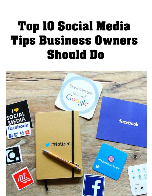# **Top 10 Social Media Tips Business Owners Should Do**

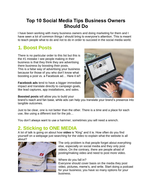#### **Top 10 Social Media Tips Business Owners Should Do**

I have been working with many business owners and doing marketing for them and I have seen a lot of common things I should bring to everyone's attention. This is meant to teach people what to do and not to do in order to succeed in the social media world.

## **1. Boost Posts**

There is no particular order to this list but this is the #1 mistake I see people making in their business is that they think they are advertising there business by boosting their posts. This is a false way of advertising your business because for those of you who don't know what boosting a post vs. a Facebook ad… Here it is!!

**Facebook ads** tend to have a bigger immediate impact and translate directly to campaign goals, like lead captures, app installations, and sales.



**Boosted posts** will allow you to build your

brand's reach and fan base, while ads can help you translate your brand's presence into tangible outcomes.

Just to be clear, one is not better than the other. There is a time and a place for each use, like using a different tool for the job…

You don't always want to use a hammer; sometimes you will need a wrench.

#### **2. Sticking to ONE MEDIA**

A lot of talk is going on about how **video** is "King" and it is. How often do you find yourself on a webpage just searching for the video to explain what the website is all about?



The only problem is that people forget about everything else, especially on social media and they only post videos. On the contrary, there are people afraid of posting/making video and need to post more video.

Where do you fall in?

Everyone should cover basis on the media they post video, pictures, meme's, and write. Start doing a podcast for your business; you have so many options for your business.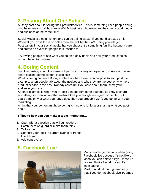# **3. Posting About One Subject**

All they post about is selling their product/service. This is something I see people doing who have really small businesses/MLM business who manages their own social media and business at the same time!

Social Media is a commitment and can be a time waster if you get distracted on it. When all you do is focus on sales then that will be the LAST thing you will get. Post variety in your social media that you choose, try something fun like hosting a party and create an event for people to subscribe to.

Try inviting people to see what you do on a daily basis and how your product helps without being too sales-y.

#### **4. Boring Content**

Just like posting about the same subject which is very annoying and comes across as spam posting boring content is useless!

What is boring content? Boring content is when there is no purpose to your post. For example, when people talk about themselves and why they are the best or why there product/service is the best. Nobody cares until you care about them; show your audience you care.

Another example is when you re-post content from other sources. Its okay to share something you saw on another website that you thought was great or helpful, but if that's a majority of what your page does then you probably won't get too far with your marketing.

A hint that your content might be boring is if no one is liking or sharing what you post about.

#### **5 Tips to how can you make a topic interesting…**

- 1. Open with a question that will pull readers in
- 2. Catch them off guard or make them think
- 3. Tell a story
- 4. Connect your topic to current events or trends
- 5. Inject humor
- 6. Add controversy

## **5. Facebook Live**



Many people get nervous when going Facebook live because it's not like a video you can delete it if you mess up or can't think of what to say. It's intimidating!!! Most don't do it, but I guarantee you that if you do Facebook Live 10 times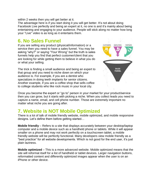within 2 weeks then you will get better at it.

The advantage here is if you start doing it you will get better. It's not about doing Facebook Live perfectly and being an expert at it, no one is and it's mainly about being entertaining and engaging to your audience. People will stick along no matter how long your "Live" video is as long as it entertains them.

#### **6. No Sales Funnel**

If you are selling any product (physical/information) or a service then you need to have a sales funnel. You may be asking "why?" or saying "Your Wrong" but the truth is sales funnels help you find that perfect customer/client that you are looking for while getting them to believe in what you do or what your selling.

The trick is finding a small audience and being an expert to that group and you need to niche down on which your audience is. For example, if you are a dentist who specializes in doing teeth implants for senior citizens. Another example, if you are a coffee shop that sells coffee to college students who like rock music in your local city.



Once you become the expert or "go to" person in your market for your product/service then you can grow, but it starts with picking a niche. When you collect leads you need to capture a name, email, and cell phone number. Those are extremely important no matter what niche you are going after.

#### **7. Website is NOT Mobile Optimized**

There is a lot of talk of mobile friendly website, mobile optimized, and mobile responsive designs. Let's define them before getting started…

**Mobile friendly** – Refers to a site that displays accurately between your desktop/laptop computer and a mobile device such as a handheld phone or tablets. While it will appear smaller on a phone and may not work perfectly on a touchscreen tablet, a mobile friendly website will be perfectly functional. Many developers view mobile friendly as a "best practice" for all website developments. Which is not good for the end user, it's just plain laziness.

**Mobile optimized** – This is a more advanced website. Mobile optimized means that the site will reformat itself for a list of handheld or tablet devices. Larger navigation buttons, reformatted content and differently optimized images appear when the user is on an iPhone or other device.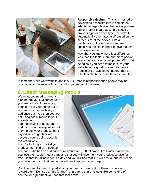

**Responsive design –** This is a method of developing a website that is completely adaptable regardless of the device you are using. Rather than detecting a specific browser type or device type, the website automatically orientates itself based on the screen size of the device. Like a combination of reformatting and reoptimizing the site in order to give the best user experience.

Now that you know there is a difference, let's face the facts; more and more people every day are using a cell phone. With that being said you need to make sure your website looks good on a mobile device! People are browsing the internet more on a tablet/cell phone more than a computer.

If someone visits your website and it is NOT mobile responsive then people may not choose to do business with you or think you're out of business.

#### **8. Direct Messaging People**

Warning, you need to have a plan before you DM someone. If you are not direct messaging people to get your name out to someone with a much large audience than you then you are not using social media to your advantage.

I am not saying to go out there and try to spam everyone or get them to buy your product, that's a good way to get blocked because you're going about it the wrong way.

If you're looking to market your product, then find an influencer,



someone who has an audience of minimum of 5,000 followers. Let him/her know that you love their social media page and that you will give them your product/service for free. Do that to 10 influencers a day and you will find that 1-2 will post about the freebie you gave them and their audience will see it and visit your page!

Don't demand for them to post about your product, simply ASK them to share and reward them. Don't do a "this for that" "share for a share" it looks like some kind of contract or agreement you had that looks fake.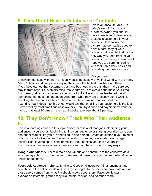#### **9. They Don't Have a Database of Contacts**



This is an absolute MUST in today's world! If you are a business owner, you should have some type of database of prospects/customers in your contacts. Don't follow this picture, I agree that it's good to have a hard copy of your contacts but don't let that be the only way you keep track of your contacts. By having a database I hope you are communicating with them on a daily basis and reminding them who you are.

#### Yes you need to

email/communicate with them on a daily basis because we live in a world with too many "shiny" objects and companies saying they have the hottest new hack out there. If you have earned that customers trust and business in the past then make sure you stay in front of your customers mind. Make sure you are cleaver and make your email fun to read, tell your customers something silly like "Hello my fine feathered friend" something that gets their attention away from what they are presently doing which is checking there emails so they do have a minute to look at what you sent them. I can dive really deep into this one; I would say that emailing your customers is the least utilized tool by most small business owners. Don't try it once and say "it didn't work for me" try it at least 10 times in the next 2 weeks, average about 1 per day.

#### **10. They Don't Know / Track Who Their Audience Is**

This is a learning course in this topic alone; there is a lot that goes into finding your audience. If you are just beginning to find your audience or starting over then write your content or market like you are speaking to one person. Create an avatar in your mind of which you are looking for and be very specific on gender, relationship status, age, kids/no kids, favorite sport, pets, home life, job, finances, and that avatars life. If you have an audience already then you can tract them in one of many ways…

**Google Analytics**: All users remain anonymous and contribute to the collective data. Any demographic or socioeconomic data around those users comes from what Google knows about them.

**Facebook Audience Insights**: Similar to Google, all users remain anonymous and contribute to the collective data. Also, any demographic or socioeconomic data around those users comes from what Facebook knows about them. Facebook knows everyone's interests, groups they like, music, movies, and so much more.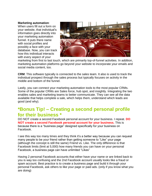#### **Marketing automation**:

When users fill out a form on your website, that individual's information goes directly into your marketing automation funnel. It puts there name with social profiles and possibly a face with your database. Now, you can track how this individual interacts with every aspect of your



marketing from first to last touch, which are primarily top-of-funnel activities. In addition, marketing automation platforms go beyond your website to incorporate your emails and social media content, too.

**CRM**: This software typically is connected to the sales team. It also is used to track the individual prospect through the sales process but typically focuses on activity in the middle and bottom of the funnel.

Lastly, you can connect your marketing automation tools to the most popular CRMs. Some of the popular CRMs are Sales force, hub spot, and insightly. Integrating the two enables sales and marketing teams to better communicate. They can see all the data available that helps complete a sale, which helps them, understand which leads are good (and why).

#### **\*Bonus Tip! – Creating a second personal profile for their business \***

DO NOT create a second Facebook personal account for your business. I repeat. **DO NOT create a second Facebook personal account for your business.** This is because there is a "business page" designed specifically for your business on Facebook.

I see this way too many times and they think it's a better way because you can request many people to be your friend rather than getting someone to "Like" your page (although the concept is still the same) Friend vs. Like. The only difference is that Facebook limits (limit at 5,000) how many friends you can have on your personal Facebook, a business page can have unlimited "Likes"

Having 2 personal Facebook accounts that either have your name or are linked back to you is way too confusing and the 2nd Facebook account usually looks like a fraud or spam account. Best practice is to create a business page and build it through your personal Facebook, ask others to like your page or paid ads. (only if you know what you are doing)